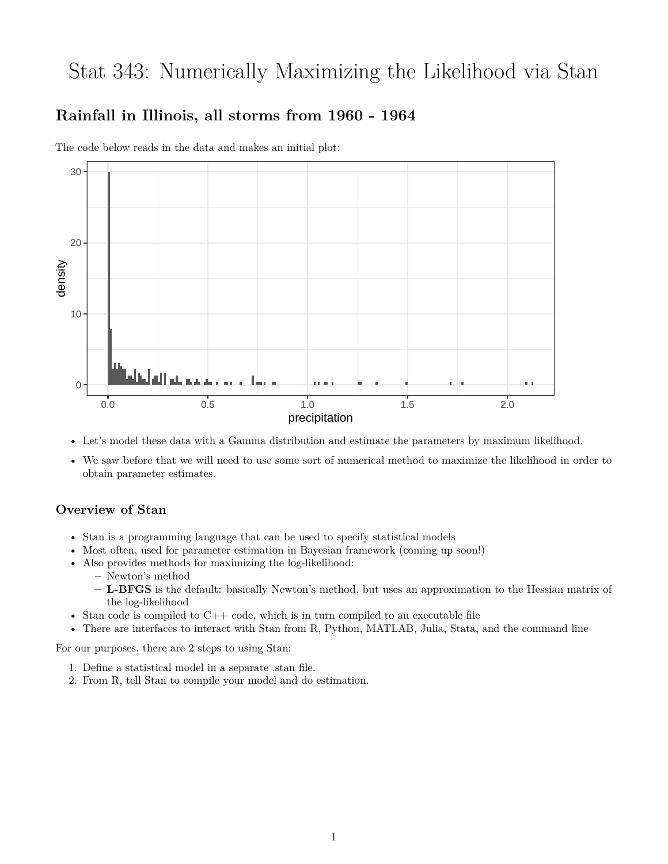# Stat 343: Numerically Maximizing the Likelihood via Stan

# **Rainfall in Illinois, all storms from 1960 - 1964**



The code below reads in the data and makes an initial plot:

- Let's model these data with a Gamma distribution and estimate the parameters by maximum likelihood.
- We saw before that we will need to use some sort of numerical method to maximize the likelihood in order to obtain parameter estimates.

### **Overview of Stan**

- Stan is a programming language that can be used to specify statistical models
- Most often, used for parameter estimation in Bayesian framework (coming up soon!)
- Also provides methods for maximizing the log-likelihood:
	- **–** Newton's method
	- **– L-BFGS** is the default: basically Newton's method, but uses an approximation to the Hessian matrix of the log-likelihood
- Stan code is compiled to  $C++$  code, which is in turn compiled to an executable file
- There are interfaces to interact with Stan from R, Python, MATLAB, Julia, Stata, and the command line

For our purposes, there are 2 steps to using Stan:

- 1. Define a statistical model in a separate .stan file.
- 2. From R, tell Stan to compile your model and do estimation.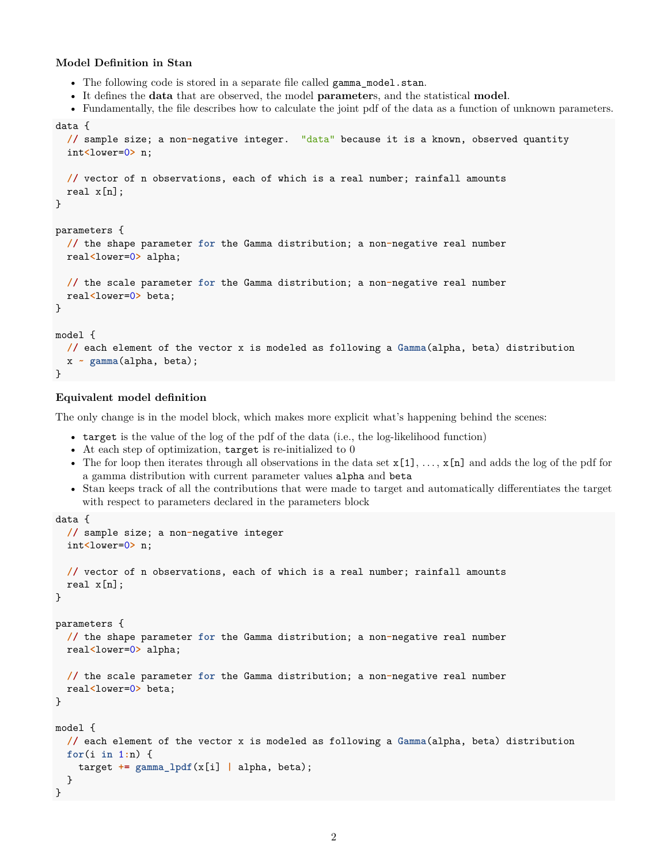#### **Model Definition in Stan**

- The following code is stored in a separate file called gamma\_model.stan.
- It defines the **data** that are observed, the model **parameter**s, and the statistical **model**.
- Fundamentally, the file describes how to calculate the joint pdf of the data as a function of unknown parameters.

```
data {
  // sample size; a non-negative integer. "data" because it is a known, observed quantity
  int<lower=0> n;
  // vector of n observations, each of which is a real number; rainfall amounts
  real x[n];
}
parameters {
  // the shape parameter for the Gamma distribution; a non-negative real number
 real<lower=0> alpha;
  // the scale parameter for the Gamma distribution; a non-negative real number
  real<lower=0> beta;
}
model {
  // each element of the vector x is modeled as following a Gamma(alpha, beta) distribution
 x ~ gamma(alpha, beta);
}
```
#### **Equivalent model definition**

The only change is in the model block, which makes more explicit what's happening behind the scenes:

- target is the value of the log of the pdf of the data (i.e., the log-likelihood function)
- At each step of optimization, target is re-initialized to 0
- The for loop then iterates through all observations in the data set  $x[1], \ldots, x[n]$  and adds the log of the pdf for a gamma distribution with current parameter values alpha and beta
- Stan keeps track of all the contributions that were made to target and automatically differentiates the target with respect to parameters declared in the parameters block

```
data {
  // sample size; a non-negative integer
  int<lower=0> n;
  // vector of n observations, each of which is a real number; rainfall amounts
  real x[n];
}
parameters {
  // the shape parameter for the Gamma distribution; a non-negative real number
 real<lower=0> alpha;
  // the scale parameter for the Gamma distribution; a non-negative real number
  real<lower=0> beta;
}
model {
 // each element of the vector x is modeled as following a Gamma(alpha, beta) distribution
  for(i in 1:n) {
    target += gamma_lpdf(x[i] | alpha, beta);
  }
}
```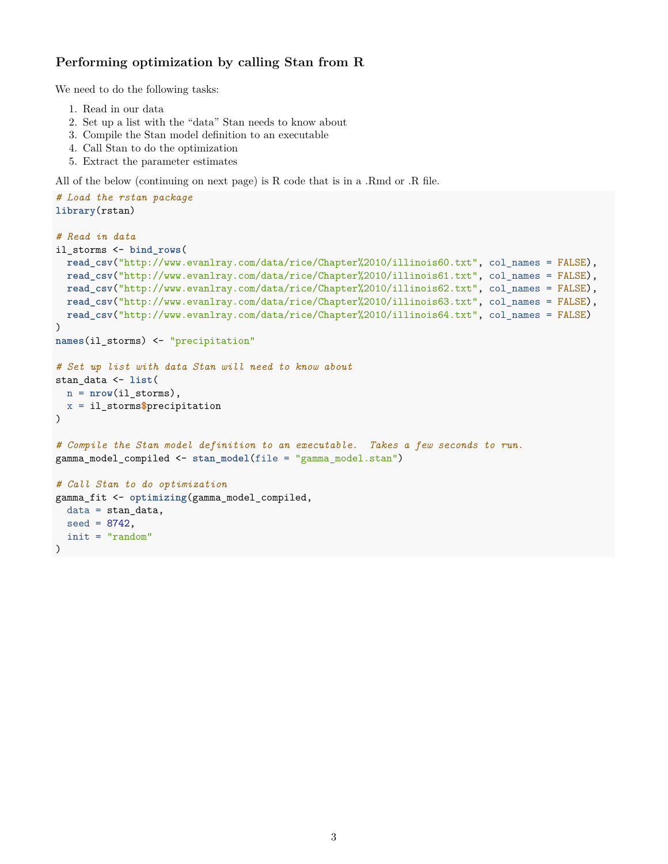## **Performing optimization by calling Stan from R**

We need to do the following tasks:

- 1. Read in our data
- 2. Set up a list with the "data" Stan needs to know about
- 3. Compile the Stan model definition to an executable
- 4. Call Stan to do the optimization
- 5. Extract the parameter estimates

All of the below (continuing on next page) is R code that is in a .Rmd or .R file.

```
# Load the rstan package
library(rstan)
# Read in data
il_storms <- bind_rows(
 read_csv("http://www.evanlray.com/data/rice/Chapter%2010/illinois60.txt", col_names = FALSE),
 read_csv("http://www.evanlray.com/data/rice/Chapter%2010/illinois61.txt", col_names = FALSE),
 read_csv("http://www.evanlray.com/data/rice/Chapter%2010/illinois62.txt", col_names = FALSE),
 read_csv("http://www.evanlray.com/data/rice/Chapter%2010/illinois63.txt", col_names = FALSE),
 read_csv("http://www.evanlray.com/data/rice/Chapter%2010/illinois64.txt", col_names = FALSE)
)
names(il_storms) <- "precipitation"
# Set up list with data Stan will need to know about
stan_data <- list(
 n = nrow(il_storms),
 x = il_storms$precipitation
)
# Compile the Stan model definition to an executable. Takes a few seconds to run.
gamma_model_compiled <- stan_model(file = "gamma_model.stan")
# Call Stan to do optimization
gamma_fit <- optimizing(gamma_model_compiled,
 data = stan_data,
  seed = 8742,
  init = "random"
)
```